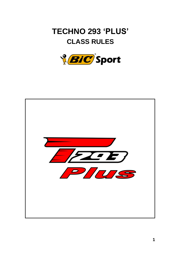# **TECHNO 293 'PLUS' CLASS RULES**



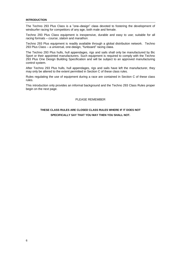#### **INTRODUCTION**

The Techno 293 Plus Class is a "one–design" class devoted to fostering the development of windsurfer racing for competitors of any age, both male and female.

Techno 293 Plus Class equipment is inexpensive, durable and easy to use; suitable for all *racing* formats – *course*, *slalom* and *marathon*.

Techno 293 Plus equipment is readily available through a global distribution network. Techno 293 Plus Class – a universal, one-design, "funboard" racing class.

The Techno 293 Plus hulls, hull appendages, rigs and sails shall only be manufactured by Bic Sport or their appointed manufacturers. Such equipment is required to comply with the Techno 293 Plus One Design Building Specification and will be subject to an approved manufacturing control system.

After Techno 293 Plus hulls, hull appendages, rigs and sails have left the manufacturer, they may only be altered to the extent permitted in Section C of these class rules.

Rules regulating the use of equipment during a race are contained in Section C of these class rules.

This introduction only provides an informal background and the Techno 293 Class Rules proper begin on the next page.

#### PLEASE REMEMBER

# **THESE CLASS RULES ARE CLOSED CLASS RULES WHERE IF IT DOES NOT SPECIFICALLY SAY THAT YOU MAY THEN YOU SHALL NOT.**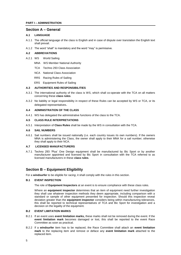## **Section A – General**

## **A.1 LANGUAGE**

- A.1.1 The official language of the class is English and in case of dispute over translation the English text shall prevail.
- A.1.2 The word "shall" is mandatory and the word "may" is permissive.

#### **A.2 ABBREVIATIONS**

- A.2.1 WS World Sailing
	- MNA WS Member National Authority
	- TCA Techno 293 Class Association
	- NCA National Class Association
	- RRS Racing Rules of Sailing
	- ERS Equipment Rules of Sailing

#### **A.3 AUTHORITIES AND RESPONSIBILITIES**

- A.3.1 The international authority of the class is WS, which shall co-operate with the TCA on all matters concerning these **class rules**.
- A.3.2 No liability or legal responsibility in respect of these Rules can be accepted by WS or TCA, or its delegated representatives.

## **A.4 ADMINISTRATION OF THE CLASS**

A.4.1 WS has delegated the administrative functions of the class to the TCA.

## **A.5 CLASS RULE INTERPRETATIONS**

A.5.1 Interpretation of **Class Rules** shall be made by the WS in consultation with the TCA.

#### **A.6 SAIL NUMBERS**

A.6.1 Sail numbers shall be issued nationally (i.e. each country issues its own numbers). If the owners MNA is administering the Class, the owner shall apply to their MNA for a sail number; otherwise they shall apply to their NCA.

#### **A.7 LICENSED MANUFACTURERS**

A.7.1 Techno 293 'Plus' One Design equipment shall be manufactured by Bic Sport or by another manufacturer appointed and licensed by Bic Sport in consultation with the TCA referred to as licensed manufacturers in these **class rules**.

# **Section B – Equipment Eligibility**

For a **windsurfer** to be eligible for *racing*, it shall comply with the rules in this section.

#### **B.1 EVENT INSPECTION**

The role of **Equipment Inspectors** at an event is to ensure compliance with these class rules.

Where an **equipment inspector** determines that an item of equipment need further investigation they shall use whatever inspection methods they deem appropriate, including comparison with a standard or sample of other equipment presented for inspection. Should this inspection reveal deviation greater than the **equipment inspector** considers being within manufacturing tolerances, this shall be reported to technical representatives of TCA and Bic Sport for investigation and a decision on the legality of the equipment.

## **B.2 EVENT LIMITATION MARKS**

- B.2.1 If an event uses **event limitation marks,** these marks shall not be removed during the event. If the **event limitation mark** becomes damaged or lost, this shall be reported to the event Race Committee as soon as practical.
- B.2.2 If a **windsurfer** item has to be replaced, the Race Committee shall attach an **event limitation mark** to the replacing item and remove or deface any **event limitation mark** attached to the replaced item.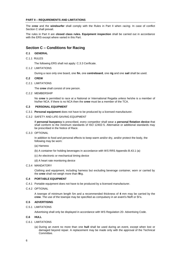#### **PART II – REQUIREMENTS AND LIMITATIONS**

The **crew** and the **windsurfer** shall comply with the Rules in Part II when *racing.* In case of conflict Section C shall prevail.

The rules in Part II are **closed class rules. Equipment inspection** shall be carried out in accordance with the ERS except where varied in this Part.

# **Section C – Conditions for Racing**

## **C.1 GENERAL**

C.1.1 RULES

The following ERS shall not apply: C.3.3 Cerificate.

C.1.2 LIMITATIONS

During a race only one board, one **fin**, one **centreboard**, one **rig** and one **sail** shall be used.

## **C.2 CREW**

C.2.1 LIMITATIONS

The **crew** shall consist of one person.

C.2.2 MEMBERSHIP

No **crew** is permitted to race at a National or International Regatta unless he/she is a member of his/her NCA. If there is no NCA then the **crew** must be a member of the TCA.

## **C.3 PERSONAL EQUIPMENT**

- C.3.1 **Personal equipment** does not have to be produced by a licensed manufacturer.
- C.3.2 SAFETY AND LIFE-SAVING EQUIPMENT

If **personal buoyancy** is prescribed, every competitor shall wear a **personal flotation device** that shall conform to the minimum standards of ISO 12402-5. Alternative or additional standards may be prescribed in the Notice of Race.

C.3.3 OPTIONAL

In addition to food and personal effects to keep warm and/or dry, and/or protect the body, the following may be worn:

- (a) Harness
- (b) A container for holding beverages in accordance with WS RRS Appendix B.43.1 (a)
- (c) An electronic or mechanical timing device
- (d) A heart rate monitoring device

## C.3.4 MANDATORY

Clothing and equipment, including harness but excluding beverage container, worn or carried by the **crew** shall not weigh more than **9**kg.

## **C.4 PORTABLE EQUIPMENT**

- C.4.1 Portable equipment does not have to be produced by a licensed manufacturer.
- C.4.2 OPTIONAL

A towrope of minimum length 5m and a recommended thickness of **4** mm may be carried by the **crew**. The use of the towrope may be specified as compulsory in an event's NoR or SI's.

## **C.5 ADVERTISING**

C.5.1 LIMITATIONS

Advertising shall only be displayed in accordance with WS Regulation 20- Advertising Code.

## **C.6 HULL**

- C.6.1 LIMITATIONS
	- (a) During an event no more than one **hull** shall be used during an event, except when lost or damaged beyond repair. A replacement may be made only with the approval of the Technical Committee.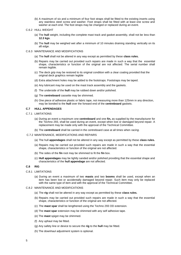- (b) A maximum of six and a minimum of four foot straps shall be fitted to the existing inserts using any stainless steel screw and washer. Foot straps shall be fitted with at least one screw and washer at each end. The foot straps may be changed or replaced during an event.
- C.6.2 HULL WEIGHT
	- (a) The **hull** weight, including the complete mast track and gasket assembly, shall not be less than **12.3 kgs**.
	- (b) The **hull** may be weighed wet after a minimum of 10 minutes draining standing vertically on its aft edge.
- C.6.3 MAINTENANCE AND MODIFICATIONS
	- (a) The **hull** shall not be altered in any way except as permitted by these **class rules.**
	- (b) Repairs may be carried out provided such repairs are made in such a way that the essential shape, characteristics or function of the original are not affected. The serial number shall remain legible.
	- (c) The deck grip may be restored to its original condition with a clear coating provided that the original deck graphics remain legible
	- (d) Extra attachment holes may be added to the footstraps. Footstraps may be taped.
	- (e) Any lubricant may be used on the mast track assembly and the gaskets.
	- (f) The underside of the **hull** may be rubbed down and/or polished.
	- (g) The **centreboard** cassette may be shimmed.
	- (h) One piece of adhesive plastic or fabric tape, not measuring more than 125mm in any direction, may be bonded to the **hull** over the forward end of the **centreboard** gaskets.

#### **C.7 HULL APPENDAGES**

- C.7.1 LIMITATIONS
	- (a) During an event a maximum one **centreboard** and one **fin,** as supplied by the manufacturer for the Techno 293, shall be used during an event, except when lost or damaged beyond repair. A replacement may be made only with the approval of the Technical Committee.
	- (b) The **centreboard** shall be carried in the centreboard case at all times when *racing.*
- C.7.2 MAINTENANCE, MODIFICATIONS AND REPAIRS
	- (a) The hull **appendages** shall not be altered in any way except as permitted by these **class rules.**
	- (a) Repairs may be carried out provided such repairs are made in such a way that the essential shape, characteristics or function of the original are not affected.
	- (b) The sides of the **fin** root may be shimmed to fit the **fin** box.
	- (c) **Hull appendages** may be lightly sanded and/or polished providing that the essential shape and characteristics of the **hull appendage** are not affected.

#### **C.8 RIG**

- C.8.1 LIMITATIONS
	- (a) During an event a maximum of two **masts** and two **booms** shall be used, except when an item has been lost or accidentally damaged beyond repair. Such item may only be replaced with the same type of item and with the approval of the Technical Committee.
- C.8.2 MAINTENANCE AND MODIFICATIONS
	- (a) The **rig** shall not be altered in any way except as permitted by these **class rules.**
	- (b) Repairs may be carried out provided such repairs are made in such a way that the essential shape, characteristics or function of the original are not affected.
	- (c) The **mast spar** shall be lengthened using the Techno 293 OD extension.
	- (d) The **mast spar** extension may be shimmed with any self adhesive tape.
	- (e) The **mast** spigot may be shimmed.
	- (f) Any uphaul may be fitted.
	- (g) Any safety line or device to secure the **rig** to the **hull** may be fitted.
	- (h) The downhaul adjustment system is optional.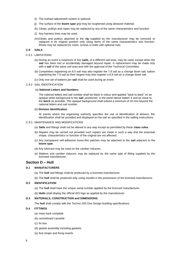- (i) The outhaul adjustment system is optional.
- (j) The surface of the **boom spar** grip may be roughened using abrasive material.
- (k) Cleats, pulleys and ropes may be replaced by any of the same characteristics and function.
- (l) Any harness lines may be used.
- (m)Cleats and pulleys attached to the **rig** supplied by the manufacturer may be removed or replaced in its original position only using items of the same characteristics and function. Rivets may be replaced by rivets, screws or bolts with optional nuts.

#### **C.9 SAILS**

- C.9.1 LIMITATIONS
	- (a) During an event a maximum of two **sails,** of a different sail area, may be used, except when the **sail** has been lost or accidentally damaged beyond repair. A replacement may be made only with a **sail** of the same sail area and with the approval of the Technical Committee.
	- (b) Competitors registering an 8.5 sail may also register the 7.8 sail as a change down sail; sailors registering the 7.8 sail as their largest may also register a 6.8 sail as a change down sail.
	- (c) Only one set of battens per **sail** shall be used during an event.

#### C.9.2 SAIL IDENTIFICATION

#### (a) **National Letters and Numbers**

The national letters and sail number shall be black in colour and applied "back to back" on an opaque white background to the **sail**; positioned in the panel above batten 4 and as close to the **leech** as possible. The opaque background shall extend a minimum of 30 mm beyond the national letters and sail number.

#### (b) **Division Identification**

At events where the organising authority specifies the use of identification of division, the identification shall be provided and displayed on the sail as specified in the sailing instructions.

#### C.9.3 MAINTENANCE AND MODIFICATIONS

- (a) **Sails** and fittings shall not be altered in any way except as permitted by these **class rules.**
- (b) Repairs may be carried out provided such repairs are made in such a way that the essential shape, characteristics or function of the original are not affected.
- (c) Any transparent self-adhesive mono-film patches may be attached to the **sail** adjacent to the **boom spar**.
- (d) Any lubricant may be used on the camber inducers.
- (e) Battens and camber inducers may be replaced by the same type of fitting supplied by the licensed manufacturer.

## **Section D – Hull**

#### **D.1 MANUFACTURERS**

- (a) The **hull** and fittings shall be produced by a licensed manufacturer.
- (b) The **hull** shall be produced only using moulds in the possession of the licensed manufacturer.

### **D.2 IDENTIFICATION**

- (a) The **hull** shall have the unique serial number applied by the licenced manufacturer.
- (b) **Hulls** shall display the official WS logo as applied by the manufacturer.

## **D.3 MATERAILS, CONSTRUCTION and DIMENSIONS**

The **hull** shall comply with the Techno 293 One Design building specifications.

## **D.4 FITTINGS**

- (a) mast track complete
- (b) centreboard cassette
- (c) fin box
- (d) gasket assembly including gaskets
- (e) foot straps and fixing inserts